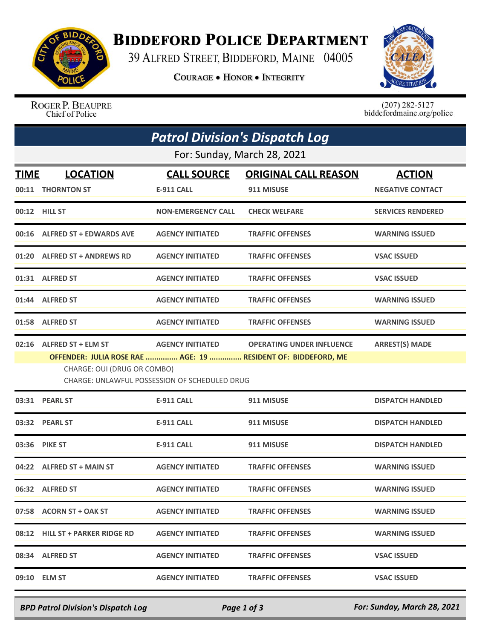

## **BIDDEFORD POLICE DEPARTMENT**

39 ALFRED STREET, BIDDEFORD, MAINE 04005

**COURAGE . HONOR . INTEGRITY** 



ROGER P. BEAUPRE Chief of Police

 $(207)$  282-5127<br>biddefordmaine.org/police

| <b>Patrol Division's Dispatch Log</b>                                        |                                 |                           |                                                               |                          |  |  |  |
|------------------------------------------------------------------------------|---------------------------------|---------------------------|---------------------------------------------------------------|--------------------------|--|--|--|
| For: Sunday, March 28, 2021                                                  |                                 |                           |                                                               |                          |  |  |  |
| <b>TIME</b>                                                                  | <b>LOCATION</b>                 | <b>CALL SOURCE</b>        | <b>ORIGINAL CALL REASON</b>                                   | <b>ACTION</b>            |  |  |  |
|                                                                              | 00:11 THORNTON ST               | <b>E-911 CALL</b>         | 911 MISUSE                                                    | <b>NEGATIVE CONTACT</b>  |  |  |  |
|                                                                              | 00:12 HILL ST                   | <b>NON-EMERGENCY CALL</b> | <b>CHECK WELFARE</b>                                          | <b>SERVICES RENDERED</b> |  |  |  |
|                                                                              | 00:16 ALFRED ST + EDWARDS AVE   | <b>AGENCY INITIATED</b>   | <b>TRAFFIC OFFENSES</b>                                       | <b>WARNING ISSUED</b>    |  |  |  |
|                                                                              | 01:20 ALFRED ST + ANDREWS RD    | <b>AGENCY INITIATED</b>   | <b>TRAFFIC OFFENSES</b>                                       | <b>VSAC ISSUED</b>       |  |  |  |
|                                                                              | 01:31 ALFRED ST                 | <b>AGENCY INITIATED</b>   | <b>TRAFFIC OFFENSES</b>                                       | <b>VSAC ISSUED</b>       |  |  |  |
|                                                                              | 01:44 ALFRED ST                 | <b>AGENCY INITIATED</b>   | <b>TRAFFIC OFFENSES</b>                                       | <b>WARNING ISSUED</b>    |  |  |  |
|                                                                              | 01:58 ALFRED ST                 | <b>AGENCY INITIATED</b>   | <b>TRAFFIC OFFENSES</b>                                       | <b>WARNING ISSUED</b>    |  |  |  |
|                                                                              | 02:16 ALFRED ST + ELM ST        | <b>AGENCY INITIATED</b>   | <b>OPERATING UNDER INFLUENCE</b>                              | <b>ARREST(S) MADE</b>    |  |  |  |
|                                                                              |                                 |                           | OFFENDER: JULIA ROSE RAE  AGE: 19  RESIDENT OF: BIDDEFORD, ME |                          |  |  |  |
| CHARGE: OUI (DRUG OR COMBO)<br>CHARGE: UNLAWFUL POSSESSION OF SCHEDULED DRUG |                                 |                           |                                                               |                          |  |  |  |
|                                                                              | 03:31 PEARL ST                  | <b>E-911 CALL</b>         | 911 MISUSE                                                    | <b>DISPATCH HANDLED</b>  |  |  |  |
|                                                                              | 03:32 PEARL ST                  | <b>E-911 CALL</b>         | 911 MISUSE                                                    | <b>DISPATCH HANDLED</b>  |  |  |  |
|                                                                              | 03:36 PIKE ST                   | <b>E-911 CALL</b>         | 911 MISUSE                                                    | <b>DISPATCH HANDLED</b>  |  |  |  |
|                                                                              | 04:22 ALFRED ST + MAIN ST       | <b>AGENCY INITIATED</b>   | <b>TRAFFIC OFFENSES</b>                                       | <b>WARNING ISSUED</b>    |  |  |  |
|                                                                              | 06:32 ALFRED ST                 | <b>AGENCY INITIATED</b>   | <b>TRAFFIC OFFENSES</b>                                       | <b>WARNING ISSUED</b>    |  |  |  |
|                                                                              | 07:58 ACORN ST + OAK ST         | <b>AGENCY INITIATED</b>   | <b>TRAFFIC OFFENSES</b>                                       | <b>WARNING ISSUED</b>    |  |  |  |
|                                                                              | 08:12 HILL ST + PARKER RIDGE RD | <b>AGENCY INITIATED</b>   | <b>TRAFFIC OFFENSES</b>                                       | <b>WARNING ISSUED</b>    |  |  |  |
|                                                                              | 08:34 ALFRED ST                 | <b>AGENCY INITIATED</b>   | <b>TRAFFIC OFFENSES</b>                                       | <b>VSAC ISSUED</b>       |  |  |  |
|                                                                              | 09:10 ELM ST                    | <b>AGENCY INITIATED</b>   | <b>TRAFFIC OFFENSES</b>                                       | <b>VSAC ISSUED</b>       |  |  |  |

*BPD Patrol Division's Dispatch Log Page 1 of 3 For: Sunday, March 28, 2021*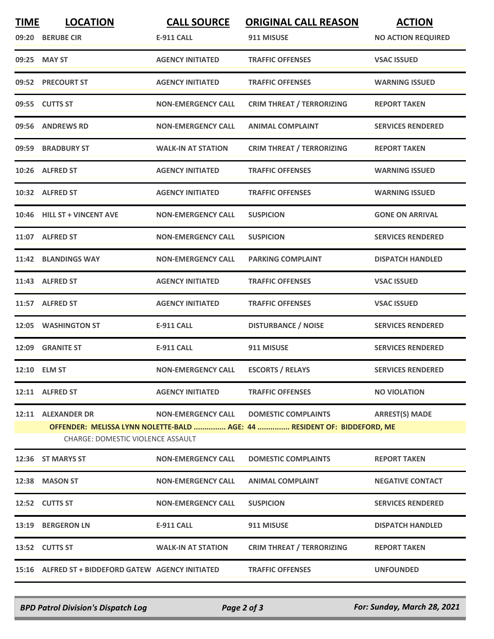| <b>TIME</b> | <b>LOCATION</b><br>09:20 BERUBE CIR                            | <b>CALL SOURCE</b><br><b>E-911 CALL</b> | <b>ORIGINAL CALL REASON</b><br>911 MISUSE                                                              | <b>ACTION</b><br><b>NO ACTION REQUIRED</b> |
|-------------|----------------------------------------------------------------|-----------------------------------------|--------------------------------------------------------------------------------------------------------|--------------------------------------------|
|             | 09:25 MAY ST                                                   | <b>AGENCY INITIATED</b>                 | <b>TRAFFIC OFFENSES</b>                                                                                | <b>VSAC ISSUED</b>                         |
|             | 09:52 PRECOURT ST                                              | <b>AGENCY INITIATED</b>                 | <b>TRAFFIC OFFENSES</b>                                                                                | <b>WARNING ISSUED</b>                      |
|             | 09:55 CUTTS ST                                                 | <b>NON-EMERGENCY CALL</b>               | <b>CRIM THREAT / TERRORIZING</b>                                                                       | <b>REPORT TAKEN</b>                        |
|             | 09:56 ANDREWS RD                                               | <b>NON-EMERGENCY CALL</b>               | <b>ANIMAL COMPLAINT</b>                                                                                | <b>SERVICES RENDERED</b>                   |
|             | 09:59 BRADBURY ST                                              | <b>WALK-IN AT STATION</b>               | <b>CRIM THREAT / TERRORIZING</b>                                                                       | <b>REPORT TAKEN</b>                        |
|             | 10:26 ALFRED ST                                                | <b>AGENCY INITIATED</b>                 | <b>TRAFFIC OFFENSES</b>                                                                                | <b>WARNING ISSUED</b>                      |
|             | 10:32 ALFRED ST                                                | <b>AGENCY INITIATED</b>                 | <b>TRAFFIC OFFENSES</b>                                                                                | <b>WARNING ISSUED</b>                      |
|             | 10:46 HILL ST + VINCENT AVE                                    | <b>NON-EMERGENCY CALL</b>               | <b>SUSPICION</b>                                                                                       | <b>GONE ON ARRIVAL</b>                     |
|             | 11:07 ALFRED ST                                                | <b>NON-EMERGENCY CALL</b>               | <b>SUSPICION</b>                                                                                       | <b>SERVICES RENDERED</b>                   |
|             | 11:42 BLANDINGS WAY                                            | <b>NON-EMERGENCY CALL</b>               | <b>PARKING COMPLAINT</b>                                                                               | <b>DISPATCH HANDLED</b>                    |
|             | 11:43 ALFRED ST                                                | <b>AGENCY INITIATED</b>                 | <b>TRAFFIC OFFENSES</b>                                                                                | <b>VSAC ISSUED</b>                         |
|             | 11:57 ALFRED ST                                                | <b>AGENCY INITIATED</b>                 | <b>TRAFFIC OFFENSES</b>                                                                                | <b>VSAC ISSUED</b>                         |
|             | 12:05 WASHINGTON ST                                            | <b>E-911 CALL</b>                       | <b>DISTURBANCE / NOISE</b>                                                                             | <b>SERVICES RENDERED</b>                   |
|             | 12:09 GRANITE ST                                               | <b>E-911 CALL</b>                       | 911 MISUSE                                                                                             | <b>SERVICES RENDERED</b>                   |
|             | 12:10 ELM ST                                                   | <b>NON-EMERGENCY CALL</b>               | <b>ESCORTS / RELAYS</b>                                                                                | <b>SERVICES RENDERED</b>                   |
|             | 12:11 ALFRED ST                                                | <b>AGENCY INITIATED</b>                 | <b>TRAFFIC OFFENSES</b>                                                                                | <b>NO VIOLATION</b>                        |
|             | 12:11 ALEXANDER DR<br><b>CHARGE: DOMESTIC VIOLENCE ASSAULT</b> | <b>NON-EMERGENCY CALL</b>               | <b>DOMESTIC COMPLAINTS</b><br>OFFENDER: MELISSA LYNN NOLETTE-BALD  AGE: 44  RESIDENT OF: BIDDEFORD, ME | <b>ARREST(S) MADE</b>                      |
|             | 12:36 ST MARYS ST                                              | <b>NON-EMERGENCY CALL</b>               | <b>DOMESTIC COMPLAINTS</b>                                                                             | <b>REPORT TAKEN</b>                        |
|             | 12:38 MASON ST                                                 | <b>NON-EMERGENCY CALL</b>               | <b>ANIMAL COMPLAINT</b>                                                                                | <b>NEGATIVE CONTACT</b>                    |
|             | 12:52 CUTTS ST                                                 | <b>NON-EMERGENCY CALL</b>               | <b>SUSPICION</b>                                                                                       | <b>SERVICES RENDERED</b>                   |
|             | 13:19 BERGERON LN                                              | E-911 CALL                              | 911 MISUSE                                                                                             | <b>DISPATCH HANDLED</b>                    |
|             | 13:52 CUTTS ST                                                 | <b>WALK-IN AT STATION</b>               | <b>CRIM THREAT / TERRORIZING</b>                                                                       | <b>REPORT TAKEN</b>                        |
|             | 15:16 ALFRED ST + BIDDEFORD GATEW AGENCY INITIATED             |                                         | <b>TRAFFIC OFFENSES</b>                                                                                | <b>UNFOUNDED</b>                           |

*BPD Patrol Division's Dispatch Log Page 2 of 3 For: Sunday, March 28, 2021*